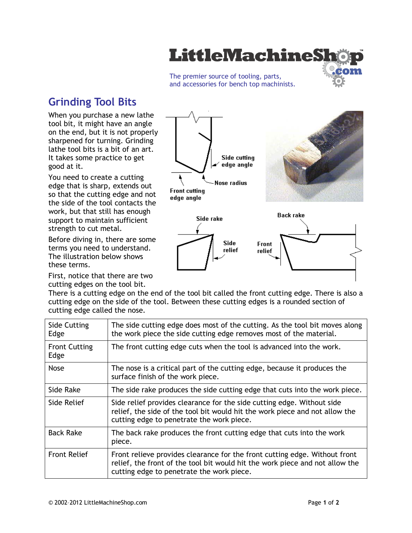

The premier source of tooling, parts, and accessories for bench top machinists.

# **Grinding Tool Bits**

When you purchase a new lathe tool bit, it might have an angle on the end, but it is not properly sharpened for turning. Grinding lathe tool bits is a bit of an art. It takes some practice to get good at it.

You need to create a cutting edge that is sharp, extends out so that the cutting edge and not the side of the tool contacts the work, but that still has enough support to maintain sufficient strength to cut metal.

Before diving in, there are some terms you need to understand. The illustration below shows these terms.

First, notice that there are two cutting edges on the tool bit.



There is a cutting edge on the end of the tool bit called the front cutting edge. There is also a cutting edge on the side of the tool. Between these cutting edges is a rounded section of cutting edge called the nose.

| <b>Side Cutting</b><br>Edge  | The side cutting edge does most of the cutting. As the tool bit moves along<br>the work piece the side cutting edge removes most of the material.                                                       |  |  |  |
|------------------------------|---------------------------------------------------------------------------------------------------------------------------------------------------------------------------------------------------------|--|--|--|
| <b>Front Cutting</b><br>Edge | The front cutting edge cuts when the tool is advanced into the work.                                                                                                                                    |  |  |  |
| <b>Nose</b>                  | The nose is a critical part of the cutting edge, because it produces the<br>surface finish of the work piece.                                                                                           |  |  |  |
| Side Rake                    | The side rake produces the side cutting edge that cuts into the work piece.                                                                                                                             |  |  |  |
| Side Relief                  | Side relief provides clearance for the side cutting edge. Without side<br>relief, the side of the tool bit would hit the work piece and not allow the<br>cutting edge to penetrate the work piece.      |  |  |  |
| <b>Back Rake</b>             | The back rake produces the front cutting edge that cuts into the work<br>piece.                                                                                                                         |  |  |  |
| <b>Front Relief</b>          | Front relieve provides clearance for the front cutting edge. Without front<br>relief, the front of the tool bit would hit the work piece and not allow the<br>cutting edge to penetrate the work piece. |  |  |  |